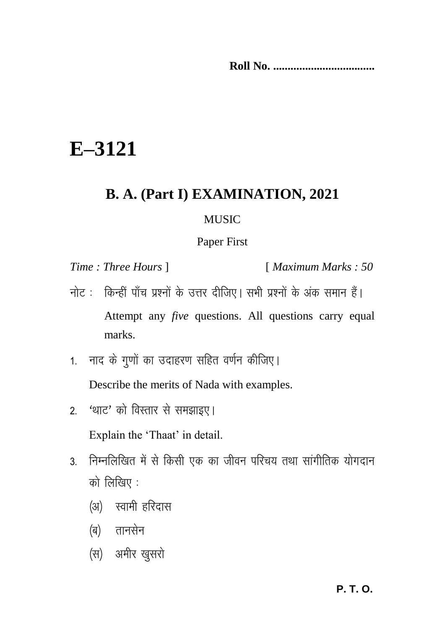**Roll No. ...................................**

## **E–3121**

## **B. A. (Part I) EXAMINATION, 2021**

## **MUSIC**

## Paper First

*Time : Three Hours* ] [ *Maximum Marks : 50*

- नोट: किन्हीं पाँच प्रश्नों के उत्तर दीजिए। सभी प्रश्नों के अंक समान हैं। Attempt any *five* questions. All questions carry equal marks.
- 1. नाद के गणों का उदाहरण सहित वर्णन कीजिए। Describe the merits of Nada with examples.
- 2. 'थाट' को विस्तार से समझाइए।

Explain the 'Thaat' in detail.

- 3. निम्नलिखित में से किसी एक का जीवन परिचय तथा सांगीतिक योगदान को लिखिए $\,$ :
	- (अ) स्वामी हरिदास
	- (ब) तानसेन
	- (स) अमीर खुसरो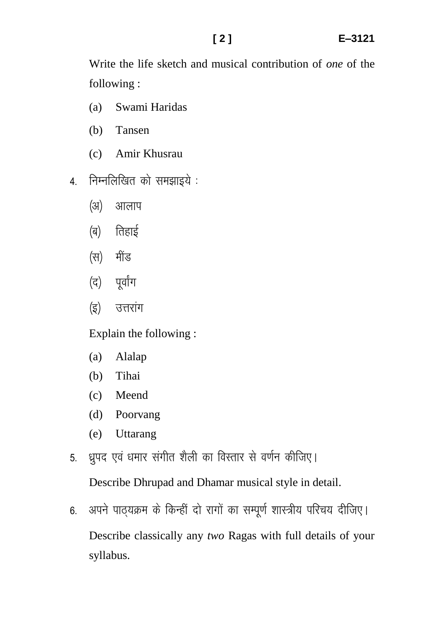Write the life sketch and musical contribution of *one* of the following :

- (a) Swami Haridas
- (b) Tansen
- (c) Amir Khusrau
- 4. निम्नलिखित को समझाइये :
	- (अ) आलाप
	- $\sqrt{q}$ ) तिहाई
	- (स) मींड
	- (द) पर्वांग
	- (इ) उत्तरांग

Explain the following :

- (a) Alalap
- (b) Tihai
- (c) Meend
- (d) Poorvang
- (e) Uttarang
- 5. ध्रपद एवं धमार संगीत शैली का विस्तार से वर्णन कीजिए।

Describe Dhrupad and Dhamar musical style in detail.

6. अपने पाठयक्रम के किन्हीं दो रागों का सम्पूर्ण शास्त्रीय परिचय दीजिए। Describe classically any *two* Ragas with full details of your syllabus.